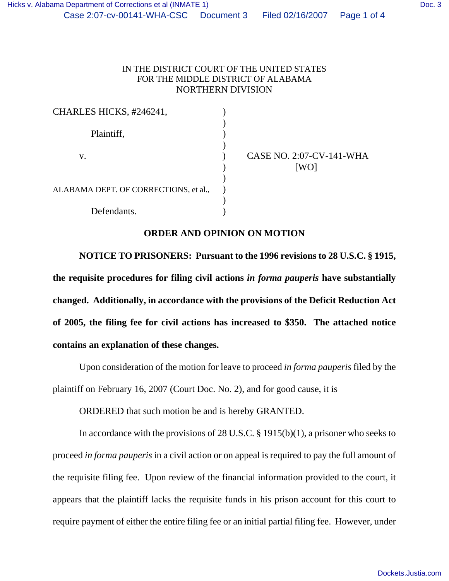| CHARLES HICKS, #246241,               |  |
|---------------------------------------|--|
| Plaintiff,                            |  |
| V.                                    |  |
| ALABAMA DEPT. OF CORRECTIONS, et al., |  |
| Defendants.                           |  |

CASE NO. 2:07-CV-141-WHA  $[WO]$ 

## **ORDER AND OPINION ON MOTION**

**NOTICE TO PRISONERS: Pursuant to the 1996 revisions to 28 U.S.C. § 1915, the requisite procedures for filing civil actions** *in forma pauperis* **have substantially changed. Additionally, in accordance with the provisions of the Deficit Reduction Act of 2005, the filing fee for civil actions has increased to \$350. The attached notice contains an explanation of these changes.**

Upon consideration of the motion for leave to proceed *in forma pauperis* filed by the plaintiff on February 16, 2007 (Court Doc. No. 2), and for good cause, it is

ORDERED that such motion be and is hereby GRANTED.

In accordance with the provisions of 28 U.S.C. § 1915(b)(1), a prisoner who seeks to proceed *in forma pauperis* in a civil action or on appeal is required to pay the full amount of the requisite filing fee. Upon review of the financial information provided to the court, it appears that the plaintiff lacks the requisite funds in his prison account for this court to require payment of either the entire filing fee or an initial partial filing fee. However, under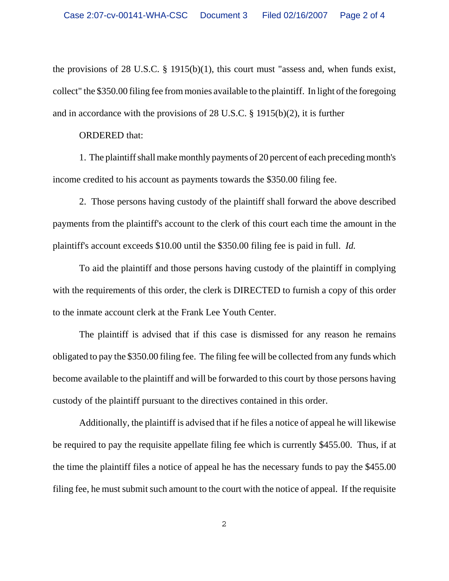the provisions of 28 U.S.C. § 1915(b)(1), this court must "assess and, when funds exist, collect" the \$350.00 filing fee from monies available to the plaintiff. In light of the foregoing and in accordance with the provisions of 28 U.S.C. § 1915(b)(2), it is further

## ORDERED that:

1. The plaintiff shall make monthly payments of 20 percent of each preceding month's income credited to his account as payments towards the \$350.00 filing fee.

2. Those persons having custody of the plaintiff shall forward the above described payments from the plaintiff's account to the clerk of this court each time the amount in the plaintiff's account exceeds \$10.00 until the \$350.00 filing fee is paid in full. *Id.* 

To aid the plaintiff and those persons having custody of the plaintiff in complying with the requirements of this order, the clerk is DIRECTED to furnish a copy of this order to the inmate account clerk at the Frank Lee Youth Center.

The plaintiff is advised that if this case is dismissed for any reason he remains obligated to pay the \$350.00 filing fee. The filing fee will be collected from any funds which become available to the plaintiff and will be forwarded to this court by those persons having custody of the plaintiff pursuant to the directives contained in this order.

Additionally, the plaintiff is advised that if he files a notice of appeal he will likewise be required to pay the requisite appellate filing fee which is currently \$455.00. Thus, if at the time the plaintiff files a notice of appeal he has the necessary funds to pay the \$455.00 filing fee, he must submit such amount to the court with the notice of appeal. If the requisite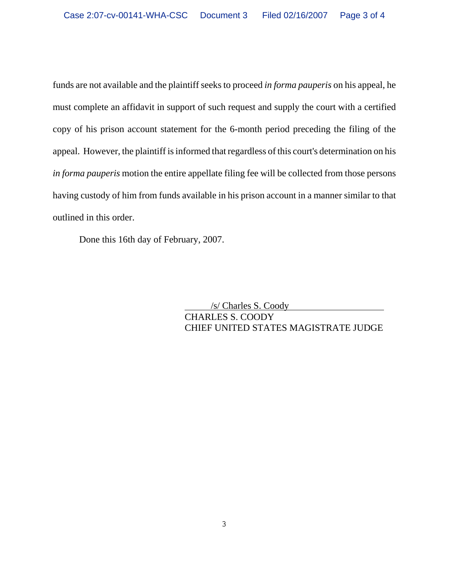funds are not available and the plaintiff seeks to proceed *in forma pauperis* on his appeal, he must complete an affidavit in support of such request and supply the court with a certified copy of his prison account statement for the 6-month period preceding the filing of the appeal. However, the plaintiff is informed that regardless of this court's determination on his *in forma pauperis* motion the entire appellate filing fee will be collected from those persons having custody of him from funds available in his prison account in a manner similar to that outlined in this order.

Done this 16th day of February, 2007.

 /s/ Charles S. Coody CHARLES S. COODY CHIEF UNITED STATES MAGISTRATE JUDGE